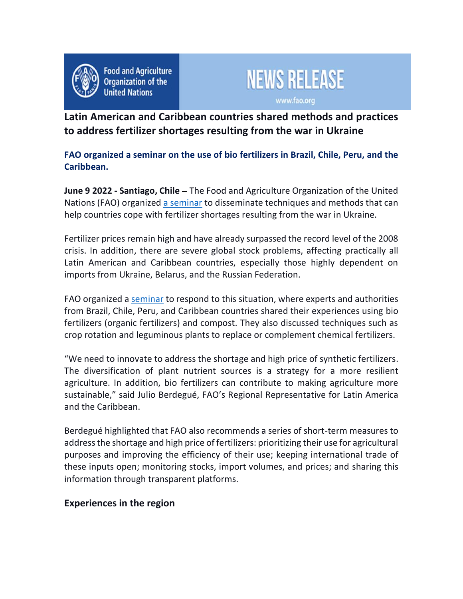

**Food and Agriculture Organization of the United Nations** 



**Latin American and Caribbean countries shared methods and practices to address fertilizer shortages resulting from the war in Ukraine**

**FAO organized a seminar on the use of bio fertilizers in Brazil, Chile, Peru, and the Caribbean.**

**June 9 2022 - Santiago, Chile –** The Food and Agriculture Organization of the United Nations (FAO) organized a seminar to disseminate techniques and methods that can help countries cope with fertilizer shortages resulting from the war in Ukraine.

Fertilizer prices remain high and have already surpassed the record level of the 2008 crisis. In addition, there are severe global stock problems, affecting practically all Latin American and Caribbean countries, especially those highly dependent on imports from Ukraine, Belarus, and the Russian Federation.

FAO organized a seminar to respond to this situation, where experts and authorities from Brazil, Chile, Peru, and Caribbean countries shared their experiences using bio fertilizers (organic fertilizers) and compost. They also discussed techniques such as crop rotation and leguminous plants to replace or complement chemical fertilizers.

"We need to innovate to address the shortage and high price of synthetic fertilizers. The diversification of plant nutrient sources is a strategy for a more resilient agriculture. In addition, bio fertilizers can contribute to making agriculture more sustainable," said Julio Berdegué, FAO's Regional Representative for Latin America and the Caribbean.

Berdegué highlighted that FAO also recommends a series of short-term measures to address the shortage and high price of fertilizers: prioritizing their use for agricultural purposes and improving the efficiency of their use; keeping international trade of these inputs open; monitoring stocks, import volumes, and prices; and sharing this information through transparent platforms.

## **Experiences in the region**